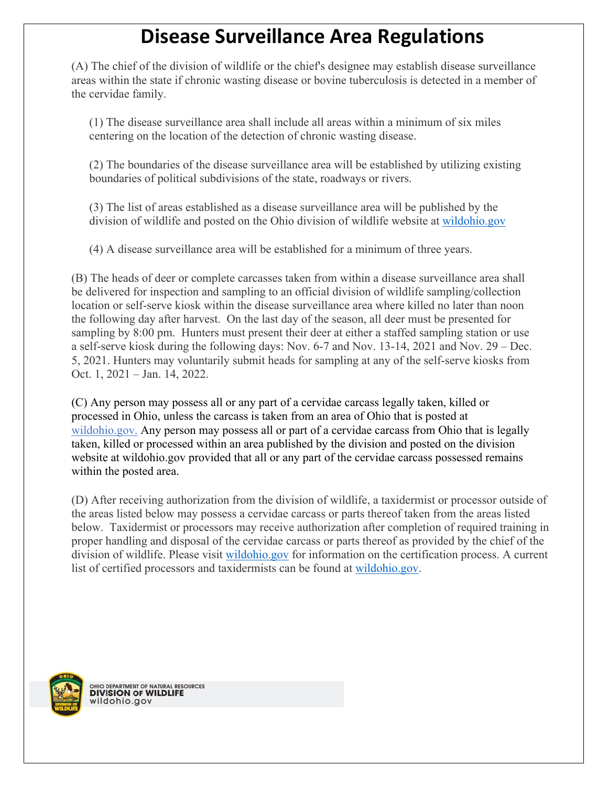## **Disease Surveillance Area Regulations**

(A) The chief of the division of wildlife or the chief's designee may establish disease surveillance areas within the state if chronic wasting disease or bovine tuberculosis is detected in a member of the cervidae family.

(1) The disease surveillance area shall include all areas within a minimum of six miles centering on the location of the detection of chronic wasting disease.

(2) The boundaries of the disease surveillance area will be established by utilizing existing boundaries of political subdivisions of the state, roadways or rivers.

(3) The list of areas established as a disease surveillance area will be published by the division of wildlife and posted on the Ohio division of wildlife website at [wildohio.gov](https://ohiodnr.gov/wps/portal/gov/odnr/discover-and-learn/safety-conservation/wildlife-management/wildlife-disease/chronic-wasting-disease)

(4) A disease surveillance area will be established for a minimum of three years.

(B) The heads of deer or complete carcasses taken from within a disease surveillance area shall be delivered for inspection and sampling to an official division of wildlife sampling/collection location or self-serve kiosk within the disease surveillance area where killed no later than noon the following day after harvest. On the last day of the season, all deer must be presented for sampling by 8:00 pm. Hunters must present their deer at either a staffed sampling station or use a self-serve kiosk during the following days: Nov. 6-7 and Nov. 13-14, 2021 and Nov. 29 – Dec. 5, 2021. Hunters may voluntarily submit heads for sampling at any of the self-serve kiosks from Oct. 1, 2021 – Jan. 14, 2022.

(C) Any person may possess all or any part of a cervidae carcass legally taken, killed or processed in Ohio, unless the carcass is taken from an area of Ohio that is posted at [wildohio.gov.](https://ohiodnr.gov/wps/portal/gov/odnr/discover-and-learn/safety-conservation/wildlife-management/wildlife-disease/chronic-wasting-disease) Any person may possess all or part of a cervidae carcass from Ohio that is legally taken, killed or processed within an area published by the division and posted on the division website at wildohio.gov provided that all or any part of the cervidae carcass possessed remains within the posted area.

(D) After receiving authorization from the division of wildlife, a taxidermist or processor outside of the areas listed below may possess a cervidae carcass or parts thereof taken from the areas listed below. Taxidermist or processors may receive authorization after completion of required training in proper handling and disposal of the cervidae carcass or parts thereof as provided by the chief of the division of wildlife. Please visit [wildohio.gov](https://ohiodnr.gov/wps/portal/gov/odnr/discover-and-learn/safety-conservation/wildlife-management/wildlife-disease/chronic-wasting-disease) for information on the certification process. A current list of certified processors and taxidermists can be found at [wildohio.gov.](https://ohiodnr.gov/wps/portal/gov/odnr/discover-and-learn/safety-conservation/wildlife-management/wildlife-disease/chronic-wasting-disease)



OHIO DEPARTMENT OF NATURAL RESOURCES<br>**DIVISION OF WILDLIFE**<br>WIL**d** O hio . gov